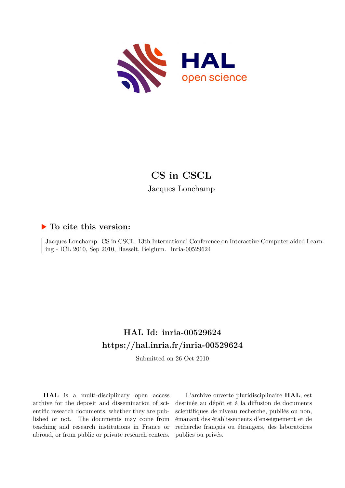

# **CS in CSCL** Jacques Lonchamp

#### **To cite this version:**

Jacques Lonchamp. CS in CSCL. 13th International Conference on Interactive Computer aided Learning - ICL 2010, Sep 2010, Hasselt, Belgium. inria-00529624

## **HAL Id: inria-00529624 <https://hal.inria.fr/inria-00529624>**

Submitted on 26 Oct 2010

**HAL** is a multi-disciplinary open access archive for the deposit and dissemination of scientific research documents, whether they are published or not. The documents may come from teaching and research institutions in France or abroad, or from public or private research centers.

L'archive ouverte pluridisciplinaire **HAL**, est destinée au dépôt et à la diffusion de documents scientifiques de niveau recherche, publiés ou non, émanant des établissements d'enseignement et de recherche français ou étrangers, des laboratoires publics ou privés.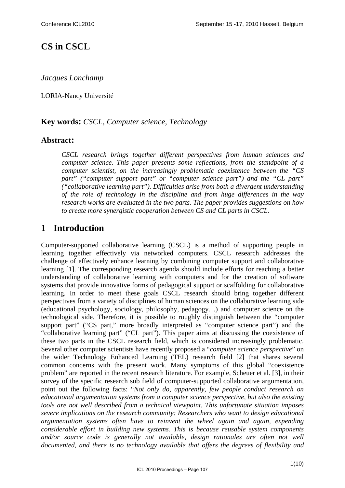## **CS in CSCL**

*Jacques Lonchamp* 

LORIA-Nancy Université

#### **Key words:** *CSCL, Computer science, Technology*

#### **Abstract:**

*CSCL research brings together different perspectives from human sciences and computer science. This paper presents some reflections, from the standpoint of a computer scientist, on the increasingly problematic coexistence between the "CS part" ("computer support part" or "computer science part") and the "CL part" ("collaborative learning part"). Difficulties arise from both a divergent understanding of the role of technology in the discipline and from huge differences in the way research works are evaluated in the two parts. The paper provides suggestions on how to create more synergistic cooperation between CS and CL parts in CSCL.* 

### **1 Introduction**

Computer-supported collaborative learning (CSCL) is a method of supporting people in learning together effectively via networked computers. CSCL research addresses the challenge of effectively enhance learning by combining computer support and collaborative learning [1]. The corresponding research agenda should include efforts for reaching a better understanding of collaborative learning with computers and for the creation of software systems that provide innovative forms of pedagogical support or scaffolding for collaborative learning. In order to meet these goals CSCL research should bring together different perspectives from a variety of disciplines of human sciences on the collaborative learning side (educational psychology, sociology, philosophy, pedagogy…) and computer science on the technological side. Therefore, it is possible to roughly distinguish between the "computer support part" ("CS part," more broadly interpreted as "computer science part") and the "collaborative learning part" ("CL part"). This paper aims at discussing the coexistence of these two parts in the CSCL research field, which is considered increasingly problematic. Several other computer scientists have recently proposed a "*computer science perspective*" on the wider Technology Enhanced Learning (TEL) research field [2] that shares several common concerns with the present work. Many symptoms of this global "coexistence problem" are reported in the recent research literature. For example, Scheuer et al. [3], in their survey of the specific research sub field of computer-supported collaborative argumentation, point out the following facts: "*Not only do, apparently, few people conduct research on educational argumentation systems from a computer science perspective, but also the existing tools are not well described from a technical viewpoint. This unfortunate situation imposes severe implications on the research community: Researchers who want to design educational argumentation systems often have to reinvent the wheel again and again, expending considerable effort in building new systems. This is because reusable system components and/or source code is generally not available, design rationales are often not well documented, and there is no technology available that offers the degrees of flexibility and*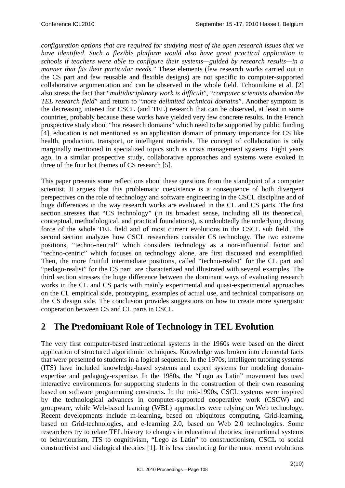*configuration options that are required for studying most of the open research issues that we have identified. Such a flexible platform would also have great practical application in schools if teachers were able to configure their systems—guided by research results—in a manner that fits their particular needs*." These elements (few research works carried out in the CS part and few reusable and flexible designs) are not specific to computer-supported collaborative argumentation and can be observed in the whole field. Tchounikine et al. [2] also stress the fact that "*multidisciplinary work is difficult*", "*computer scientists abandon the TEL research field*" and return to "*more delimited technical domains*". Another symptom is the decreasing interest for CSCL (and TEL) research that can be observed, at least in some countries, probably because these works have yielded very few concrete results. In the French prospective study about "hot research domains" which need to be supported by public funding [4], education is not mentioned as an application domain of primary importance for CS like health, production, transport, or intelligent materials. The concept of collaboration is only marginally mentioned in specialized topics such as crisis management systems. Eight years ago, in a similar prospective study, collaborative approaches and systems were evoked in three of the four hot themes of CS research [5].

This paper presents some reflections about these questions from the standpoint of a computer scientist. It argues that this problematic coexistence is a consequence of both divergent perspectives on the role of technology and software engineering in the CSCL discipline and of huge differences in the way research works are evaluated in the CL and CS parts. The first section stresses that "CS technology" (in its broadest sense, including all its theoretical, conceptual, methodological, and practical foundations), is undoubtedly the underlying driving force of the whole TEL field and of most current evolutions in the CSCL sub field. The second section analyzes how CSCL researchers consider CS technology. The two extreme positions, "techno-neutral" which considers technology as a non-influential factor and "techno-centric" which focuses on technology alone, are first discussed and exemplified. Then, the more fruitful intermediate positions, called "techno-realist" for the CL part and "pedago-realist" for the CS part, are characterized and illustrated with several examples. The third section stresses the huge difference between the dominant ways of evaluating research works in the CL and CS parts with mainly experimental and quasi-experimental approaches on the CL empirical side, prototyping, examples of actual use, and technical comparisons on the CS design side. The conclusion provides suggestions on how to create more synergistic cooperation between CS and CL parts in CSCL.

## **2 The Predominant Role of Technology in TEL Evolution**

The very first computer-based instructional systems in the 1960s were based on the direct application of structured algorithmic techniques. Knowledge was broken into elemental facts that were presented to students in a logical sequence. In the 1970s, intelligent tutoring systems (ITS) have included knowledge-based systems and expert systems for modeling domainexpertise and pedagogy-expertise. In the 1980s, the "Logo as Latin" movement has used interactive environments for supporting students in the construction of their own reasoning based on software programming constructs. In the mid-1990s, CSCL systems were inspired by the technological advances in computer-supported cooperative work (CSCW) and groupware, while Web-based learning (WBL) approaches were relying on Web technology. Recent developments include m-learning, based on ubiquitous computing, Grid-learning, based on Grid-technologies, and e-learning 2.0, based on Web 2.0 technologies. Some researchers try to relate TEL history to changes in educational theories: instructional systems to behaviourism, ITS to cognitivism, "Lego as Latin" to constructionism, CSCL to social constructivist and dialogical theories [1]. It is less convincing for the most recent evolutions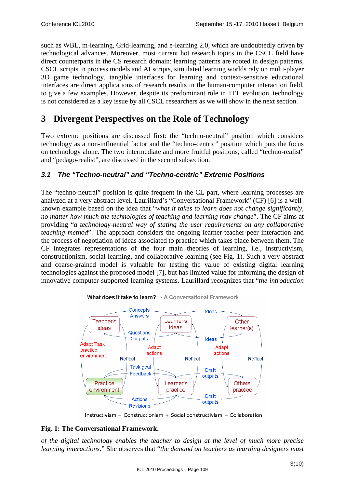such as WBL, m-learning, Grid-learning, and e-learning 2.0, which are undoubtedly driven by technological advances. Moreover, most current hot research topics in the CSCL field have direct counterparts in the CS research domain: learning patterns are rooted in design patterns, CSCL scripts in process models and AI scripts, simulated learning worlds rely on multi-player 3D game technology, tangible interfaces for learning and context-sensitive educational interfaces are direct applications of research results in the human-computer interaction field, to give a few examples. However, despite its predominant role in TEL evolution, technology is not considered as a key issue by all CSCL researchers as we will show in the next section.

## **3 Divergent Perspectives on the Role of Technology**

Two extreme positions are discussed first: the "techno-neutral" position which considers technology as a non-influential factor and the "techno-centric" position which puts the focus on technology alone. The two intermediate and more fruitful positions, called "techno-realist" and "pedago-realist", are discussed in the second subsection.

#### *3.1 The "Techno-neutral" and "Techno-centric" Extreme Positions*

The "techno-neutral" position is quite frequent in the CL part, where learning processes are analyzed at a very abstract level. Laurillard's "Conversational Framework" (CF) [6] is a wellknown example based on the idea that "*what it takes to learn does not change significantly, no matter how much the technologies of teaching and learning may change*". The CF aims at providing "*a technology-neutral way of stating the user requirements on any collaborative teaching method*". The approach considers the ongoing learner-teacher-peer interaction and the process of negotiation of ideas associated to practice which takes place between them. The CF integrates representations of the four main theories of learning, i.e., instructivism, constructionism, social learning, and collaborative learning (see Fig. 1). Such a very abstract and coarse-grained model is valuable for testing the value of existing digital learning technologies against the proposed model [7], but has limited value for informing the design of innovative computer-supported learning systems. Laurillard recognizes that "*the introduction* 



What does it take to learn? - A Conversational Framework

Instructivism + Constructionism + Social constructivism + Collaboration

#### **Fig. 1: The Conversational Framework.**

*of the digital technology enables the teacher to design at the level of much more precise learning interactions*." She observes that "*the demand on teachers as learning designers must*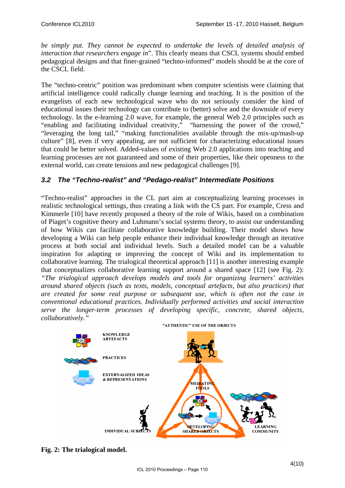*be simply put. They cannot be expected to undertake the levels of detailed analysis of interaction that researchers engage in*". This clearly means that CSCL systems should embed pedagogical designs and that finer-grained "techno-informed" models should be at the core of the CSCL field.

The "techno-centric" position was predominant when computer scientists were claiming that artificial intelligence could radically change learning and teaching. It is the position of the evangelists of each new technological wave who do not seriously consider the kind of educational issues their technology can contribute to (better) solve and the downside of every technology. In the e-learning 2.0 wave, for example, the general Web 2.0 principles such as "enabling and facilitating individual creativity," "harnessing the power of the crowd," "leveraging the long tail," "making functionalities available through the mix-up/mash-up culture" [8], even if very appealing, are not sufficient for characterizing educational issues that could be better solved. Added-values of existing Web 2.0 applications into teaching and learning processes are not guaranteed and some of their properties, like their openness to the external world, can create tensions and new pedagogical challenges [9].

### *3.2 The "Techno-realist" and "Pedago-realist" Intermediate Positions*

"Techno-realist" approaches in the CL part aim at conceptualizing learning processes in realistic technological settings, thus creating a link with the CS part. For example, Cress and Kimmerle [10] have recently proposed a theory of the role of Wikis, based on a combination of Piaget's cognitive theory and Luhmann's social systems theory, to assist our understanding of how Wikis can facilitate collaborative knowledge building. Their model shows how developing a Wiki can help people enhance their individual knowledge through an iterative process at both social and individual levels. Such a detailed model can be a valuable inspiration for adapting or improving the concept of Wiki and its implementation to collaborative learning. The trialogical theoretical approach [11] is another interesting example that conceptualizes collaborative learning support around a shared space [12] (see Fig. 2): *"The trialogical approach develops models and tools for organizing learners' activities around shared objects (such as texts, models, conceptual artefacts, but also practices) that are created for some real purpose or subsequent use, which is often not the case in conventional educational practices. Individually performed activities and social interaction serve the longer-term processes of developing specific, concrete, shared objects, collaboratively."*



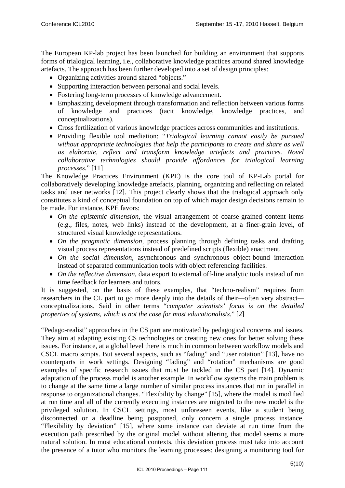The European KP-lab project has been launched for building an environment that supports forms of trialogical learning, i.e., collaborative knowledge practices around shared knowledge artefacts. The approach has been further developed into a set of design principles:

- Organizing activities around shared "objects."
- Supporting interaction between personal and social levels.
- Fostering long-term processes of knowledge advancement.
- Emphasizing development through transformation and reflection between various forms of knowledge and practices (tacit knowledge, knowledge practices, and conceptualizations).
- Cross fertilization of various knowledge practices across communities and institutions.
- Providing flexible tool mediation: "*Trialogical learning cannot easily be pursued without appropriate technologies that help the participants to create and share as well as elaborate, reflect and transform knowledge artefacts and practices. Novel collaborative technologies should provide affordances for trialogical learning processes*." [11]

The Knowledge Practices Environment (KPE) is the core tool of KP-Lab portal for collaboratively developing knowledge artefacts, planning, organizing and reflecting on related tasks and user networks [12]. This project clearly shows that the trialogical approach only constitutes a kind of conceptual foundation on top of which major design decisions remain to be made. For instance, KPE favors:

- *On the epistemic dimension*, the visual arrangement of coarse-grained content items (e.g., files, notes, web links) instead of the development, at a finer-grain level, of structured visual knowledge representations.
- *On the pragmatic dimension,* process planning through defining tasks and drafting visual process representations instead of predefined scripts (flexible) enactment.
- *On the social dimension,* asynchronous and synchronous object-bound interaction instead of separated communication tools with object referencing facilities.
- *On the reflective dimension,* data export to external off-line analytic tools instead of run time feedback for learners and tutors.

It is suggested, on the basis of these examples, that "techno-realism" requires from researchers in the CL part to go more deeply into the details of their*—*often very abstract conceptualizations. Said in other terms "*computer scientists' focus is on the detailed properties of systems, which is not the case for most educationalists.*" [2]

"Pedago-realist" approaches in the CS part are motivated by pedagogical concerns and issues. They aim at adapting existing CS technologies or creating new ones for better solving these issues. For instance, at a global level there is much in common between workflow models and CSCL macro scripts. But several aspects, such as "fading" and "user rotation" [13], have no counterparts in work settings. Designing "fading" and "rotation" mechanisms are good examples of specific research issues that must be tackled in the CS part [14]. Dynamic adaptation of the process model is another example. In workflow systems the main problem is to change at the same time a large number of similar process instances that run in parallel in response to organizational changes. "Flexibility by change" [15], where the model is modified at run time and all of the currently executing instances are migrated to the new model is the privileged solution. In CSCL settings, most unforeseen events, like a student being disconnected or a deadline being postponed, only concern a single process instance. "Flexibility by deviation" [15], where some instance can deviate at run time from the execution path prescribed by the original model without altering that model seems a more natural solution. In most educational contexts, this deviation process must take into account the presence of a tutor who monitors the learning processes: designing a monitoring tool for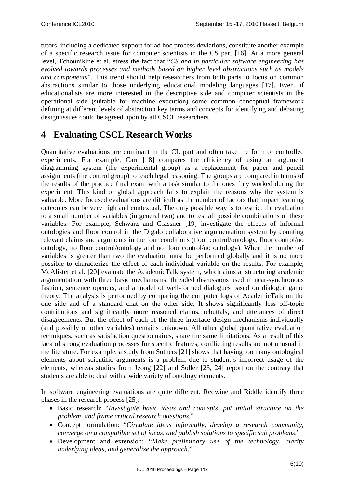tutors, including a dedicated support for ad hoc process deviations, constitute another example of a specific research issue for computer scientists in the CS part [16]. At a more general level, Tchounikine et al. stress the fact that "*CS and in particular software engineering has evolved towards processes and methods based on higher level abstractions such as models and components*". This trend should help researchers from both parts to focus on common abstractions similar to those underlying educational modeling languages [17]. Even, if educationalists are more interested in the descriptive side and computer scientists in the operational side (suitable for machine execution) some common conceptual framework defining at different levels of abstraction key terms and concepts for identifying and debating design issues could be agreed upon by all CSCL researchers.

### **4 Evaluating CSCL Research Works**

Quantitative evaluations are dominant in the CL part and often take the form of controlled experiments. For example, Carr [18] compares the efficiency of using an argument diagramming system (the experimental group) as a replacement for paper and pencil assignments (the control group) to teach legal reasoning. The groups are compared in terms of the results of the practice final exam with a task similar to the ones they worked during the experiment. This kind of global approach fails to explain the reasons why the system is valuable. More focused evaluations are difficult as the number of factors that impact learning outcomes can be very high and contextual. The only possible way is to restrict the evaluation to a small number of variables (in general two) and to test all possible combinations of these variables. For example, Schwarz and Glassner [19] investigate the effects of informal ontologies and floor control in the Digalo collaborative argumentation system by counting relevant claims and arguments in the four conditions (floor control/ontology, floor control/no ontology, no floor control/ontology and no floor control/no ontology). When the number of variables is greater than two the evaluation must be performed globally and it is no more possible to characterize the effect of each individual variable on the results. For example, McAlister et al. [20] evaluate the AcademicTalk system, which aims at structuring academic argumentation with three basic mechanisms: threaded discussions used in near-synchronous fashion, sentence openers, and a model of well-formed dialogues based on dialogue game theory. The analysis is performed by comparing the computer logs of AcademicTalk on the one side and of a standard chat on the other side. It shows significantly less off-topic contributions and significantly more reasoned claims, rebuttals, and utterances of direct disagreements. But the effect of each of the three interface design mechanisms individually (and possibly of other variables) remains unknown. All other global quantitative evaluation techniques, such as satisfaction questionnaires, share the same limitations. As a result of this lack of strong evaluation processes for specific features, conflicting results are not unusual in the literature. For example, a study from Suthers [21] shows that having too many ontological elements about scientific arguments is a problem due to student's incorrect usage of the elements, whereas studies from Jeong [22] and Soller [23, 24] report on the contrary that students are able to deal with a wide variety of ontology elements.

In software engineering evaluations are quite different. Redwine and Riddle identify three phases in the research process [25]:

- Basic research: "*Investigate basic ideas and concepts, put initial structure on the problem, and frame critical research questions*."
- Concept formulation: "*Circulate ideas informally, develop a research community, converge on a compatible set of ideas, and publish solutions to specific sub problems*."
- Development and extension: "*Make preliminary use of the technology, clarify underlying ideas, and generalize the approach*."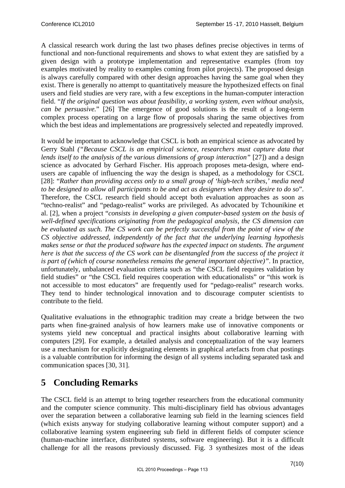A classical research work during the last two phases defines precise objectives in terms of functional and non-functional requirements and shows to what extent they are satisfied by a given design with a prototype implementation and representative examples (from toy examples motivated by reality to examples coming from pilot projects). The proposed design is always carefully compared with other design approaches having the same goal when they exist. There is generally no attempt to quantitatively measure the hypothesized effects on final users and field studies are very rare, with a few exceptions in the human-computer interaction field. "*If the original question was about feasibility, a working system, even without analysis, can be persuasive.*" [26] The emergence of good solutions is the result of a long-term complex process operating on a large flow of proposals sharing the same objectives from which the best ideas and implementations are progressively selected and repeatedly improved.

It would be important to acknowledge that CSCL is both an empirical science as advocated by Gerry Stahl *("Because CSCL is an empirical science, researchers must capture data that lends itself to the analysis of the various dimensions of group interaction*" [27]) and a design science as advocated by Gerhard Fischer. His approach proposes meta-design, where endusers are capable of influencing the way the design is shaped, as a methodology for CSCL [28]: "*Rather than providing access only to a small group of 'high-tech scribes,' media need to be designed to allow all participants to be and act as designers when they desire to do so*". Therefore, the CSCL research field should accept both evaluation approaches as soon as "techno-realist" and "pedago-realist" works are privileged. As advocated by Tchounikine et al. [2], when a project "*consists in developing a given computer-based system on the basis of well-defined specifications originating from the pedagogical analysis, the CS dimension can be evaluated as such. The CS work can be perfectly successful from the point of view of the CS objective addressed, independently of the fact that the underlying learning hypothesis makes sense or that the produced software has the expected impact on students. The argument here is that the success of the CS work can be disentangled from the success of the project it is part of (which of course nonetheless remains the general important objective)"*. In practice, unfortunately, unbalanced evaluation criteria such as "the CSCL field requires validation by field studies" or "the CSCL field requires cooperation with educationalists" or "this work is not accessible to most educators" are frequently used for "pedago-realist" research works. They tend to hinder technological innovation and to discourage computer scientists to contribute to the field.

Qualitative evaluations in the ethnographic tradition may create a bridge between the two parts when fine-grained analysis of how learners make use of innovative components or systems yield new conceptual and practical insights about collaborative learning with computers [29]. For example, a detailed analysis and conceptualization of the way learners use a mechanism for explicitly designating elements in graphical artefacts from chat postings is a valuable contribution for informing the design of all systems including separated task and communication spaces [30, 31].

# **5 Concluding Remarks**

The CSCL field is an attempt to bring together researchers from the educational community and the computer science community. This multi-disciplinary field has obvious advantages over the separation between a collaborative learning sub field in the learning sciences field (which exists anyway for studying collaborative learning without computer support) and a collaborative learning system engineering sub field in different fields of computer science (human-machine interface, distributed systems, software engineering). But it is a difficult challenge for all the reasons previously discussed. Fig. 3 synthesizes most of the ideas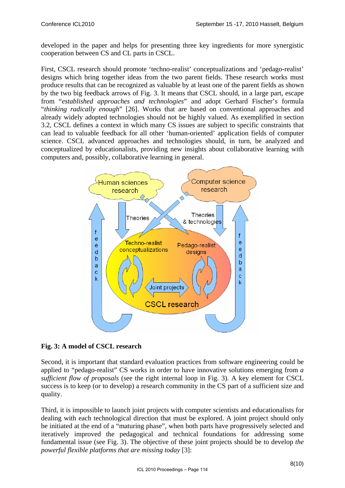developed in the paper and helps for presenting three key ingredients for more synergistic cooperation between CS and CL parts in CSCL.

First, CSCL research should promote 'techno-realist' conceptualizations and 'pedago-realist' designs which bring together ideas from the two parent fields. These research works must produce results that can be recognized as valuable by at least one of the parent fields as shown by the two big feedback arrows of Fig. 3. It means that CSCL should, in a large part, escape from "*established approaches and technologies*" and adopt Gerhard Fischer's formula "*thinking radically enough*" [26]. Works that are based on conventional approaches and already widely adopted technologies should not be highly valued. As exemplified in section 3.2, CSCL defines a context in which many CS issues are subject to specific constraints that can lead to valuable feedback for all other 'human-oriented' application fields of computer science. CSCL advanced approaches and technologies should, in turn, be analyzed and conceptualized by educationalists, providing new insights about collaborative learning with computers and, possibly, collaborative learning in general.



**Fig. 3: A model of CSCL research** 

Second, it is important that standard evaluation practices from software engineering could be applied to "pedago-realist" CS works in order to have innovative solutions emerging from *a sufficient flow of proposals* (see the right internal loop in Fig. 3). A key element for CSCL success is to keep (or to develop) a research community in the CS part of a sufficient size and quality.

Third, it is impossible to launch joint projects with computer scientists and educationalists for dealing with each technological direction that must be explored. A joint project should only be initiated at the end of a "maturing phase", when both parts have progressively selected and iteratively improved the pedagogical and technical foundations for addressing some fundamental issue (see Fig. 3). The objective of these joint projects should be to develop *the powerful flexible platforms that are missing today* [3]: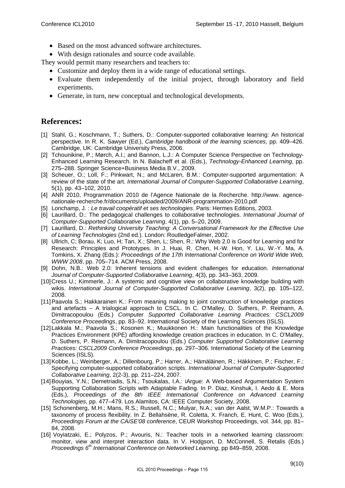- Based on the most advanced software architectures.
- With design rationales and source code available.

They would permit many researchers and teachers to:

- Customize and deploy them in a wide range of educational settings.
- Evaluate them independently of the initial project, through laboratory and field experiments.
- Generate, in turn, new conceptual and technological developments.

### **References:**

- [1] Stahl, G.; Koschmann, T.; Suthers, D.: Computer-supported collaborative learning: An historical perspective. In R. K. Sawyer (Ed.), *Cambridge handbook of the learning sciences*, pp. 409–426. Cambridge, UK: Cambridge University Press, 2006.
- [2] Tchounikine, P.; Mørch, A.I.; and Bannon, L.J.: A Computer Science Perspective on Technology-Enhanced Learning Research. In N. Balacheff et al. (Eds.), *Technology-Enhanced Learning*, pp. 275–288. Springer Science+Business Media B.V., 2009.
- [3] Scheuer, O.; Loll, F.; Pinkwart, N.; and McLaren, B.M.: Computer-supported argumentation: A review of the state of the art. *International Journal of Computer-Supported Collaborative Learning*, 5(1), pp. 43–102, 2010.
- [4] ANR 2010, Programmation 2010 de l'Agence Nationale de la Recherche. http://www. agencenationale-recherche.fr/documents/uploaded/2009/ANR-programmation-2010.pdf
- [5] Lonchamp, J. : *Le travail coopératif et ses technologies*. Paris: Hermes Editions, 2003.
- [6] Laurillard, D.: The pedagogical challenges to collaborative technologies. *International Journal of Computer-Supported Collaborative Learning*, 4(1), pp. 5–20, 2009.
- [7] Laurillard, D.: *Rethinking University Teaching: A Conversational Framework for the Effective Use of Learning Technologies* (2nd ed.). London: RoutledgeFalmer, 2002.
- [8] Ullrich, C; Borau, K; Luo, H; Tan, X.; Shen, L; Shen, R.: Why Web 2.0 is Good for Learning and for Research: Principles and Prototypes. In J. Huai, R. Chen, H.-W. Hon, Y. Liu, W.-Y. Ma, A. Tomkins, X. Zhang (Eds.): *Proceedings of the 17th International Conference on World Wide Web, WWW 2008*, pp. 705–714. ACM Press, 2008.
- [9] Dohn, N.B.: Web 2.0: Inherent tensions and evident challenges for education. *International Journal of Computer-Supported Collaborative Learning*, 4(3), pp. 343–363, 2009.
- [10] Cress U.; Kimmerle, J.: A systemic and cognitive view on collaborative knowledge building with wikis. *International Journal of Computer-Supported Collaborative Learning*, 3(2), pp. 105–122, 2008.
- [11] Paavola S.; Hakkarainen K.: From meaning making to joint construction of knowledge practices and artefacts – A trialogical approach to CSCL. In C. O'Malley, D. Suthers, P. Reimann, A. Dimitracopoulou (Eds.) *Computer Supported Collaborative Learning Practices: CSCL2009 Conference Proceedings*, pp. 83–92. International Society of the Learning Sciences (ISLS).
- [12] Lakkala M.; Paavola S.; Kosonen K.; Muukkonen H.: Main functionalities of the Knowledge Practices Environment (KPE) affording knowledge creation practices in education. In C. O'Malley, D. Suthers, P. Reimann, A. Dimitracopoulou (Eds.) *Computer Supported Collaborative Learning Practices: CSCL2009 Conference Proceedings*, pp. 297–306. International Society of the Learning Sciences (ISLS).
- [13] Kobbe, L.; Weinberger, A.; Dillenbourg, P.; Harrer, A.; Hämäläinen, R.; Häkkinen, P.; Fischer, F.: Specifying computer-supported collaboration scripts. *International Journal of Computer-Supported Collaborative Learning*, 2(2-3), pp. 211–224, 2007.
- [14] Bouyias, Y.N.; Demetriadis, S.N.; Tsoukalas, I.A.: iArgue: A Web-based Argumentation System Supporting Collaboration Scripts with Adaptable Fading. In P. Diaz, Kinshuk, I. Aedo & E. Mora (Eds.), *Proceedings of the 8th IEEE International Conference on Advanced Learning Technologies,* pp. 477–479. Los Alamitos, CA: IEEE Computer Society, 2008.
- [15] Schonenberg, M.H.; Mans, R.S.; Russell, N.C.; Mulyar, N.A.; van der Aalst, W.M.P.: Towards a taxonomy of process flexibility. In Z. Bellahsène, R. Coletta, X. Franch, E. Hunt, C. Woo (Eds.), *Proceedings Forum at the CAiSE'08 conference*, CEUR Workshop Proceedings, vol. 344, pp. 81– 84, 2008.
- [16] Voyiatzaki, E.; Polyzos, P.; Avouris, N.: Teacher tools in a networked learning classroom: monitor, view and interpret interaction data. In V. Hodgson, D. McConnell, S. Retalis (Eds.) *Proceedings 6th International Conference on Networked Learning,* pp 849–859, 2008.